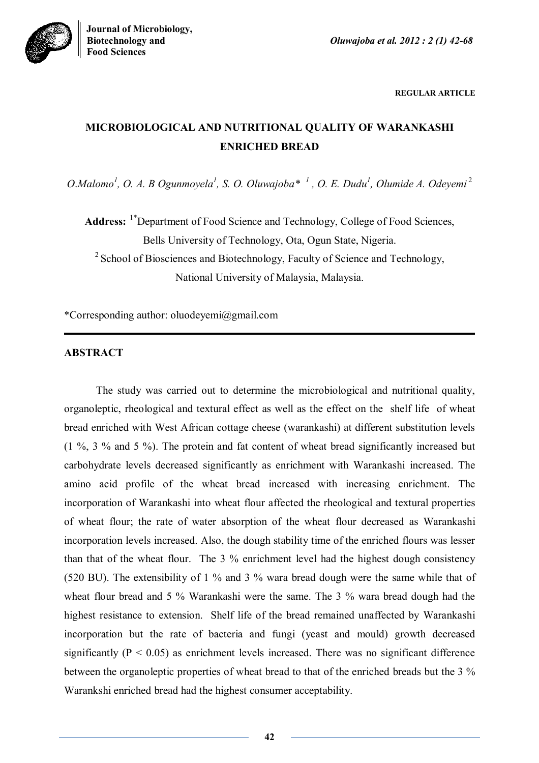

**REGULAR ARTICLE**

# **MICROBIOLOGICAL AND NUTRITIONAL QUALITY OF WARANKASHI ENRICHED BREAD**

*O*.*Malomo<sup>1</sup> , O. A. B Ogunmoyela<sup>1</sup> , S. O. Oluwajoba\* <sup>1</sup> , O. E. Dudu<sup>1</sup> , Olumide A. Odeyemi* <sup>2</sup>

Address: <sup>1\*</sup>Department of Food Science and Technology, College of Food Sciences, Bells University of Technology, Ota, Ogun State, Nigeria.

<sup>2</sup> School of Biosciences and Biotechnology, Faculty of Science and Technology, National University of Malaysia, Malaysia.

\*Corresponding author: oluodeyemi@gmail.com

# **ABSTRACT**

The study was carried out to determine the microbiological and nutritional quality, organoleptic, rheological and textural effect as well as the effect on the shelf life of wheat bread enriched with West African cottage cheese (warankashi) at different substitution levels (1 %, 3 % and 5 %). The protein and fat content of wheat bread significantly increased but carbohydrate levels decreased significantly as enrichment with Warankashi increased. The amino acid profile of the wheat bread increased with increasing enrichment. The incorporation of Warankashi into wheat flour affected the rheological and textural properties of wheat flour; the rate of water absorption of the wheat flour decreased as Warankashi incorporation levels increased. Also, the dough stability time of the enriched flours was lesser than that of the wheat flour. The 3 % enrichment level had the highest dough consistency (520 BU). The extensibility of 1 % and 3 % wara bread dough were the same while that of wheat flour bread and 5 % Warankashi were the same. The 3 % wara bread dough had the highest resistance to extension. Shelf life of the bread remained unaffected by Warankashi incorporation but the rate of bacteria and fungi (yeast and mould) growth decreased significantly ( $P < 0.05$ ) as enrichment levels increased. There was no significant difference between the organoleptic properties of wheat bread to that of the enriched breads but the 3 % Warankshi enriched bread had the highest consumer acceptability.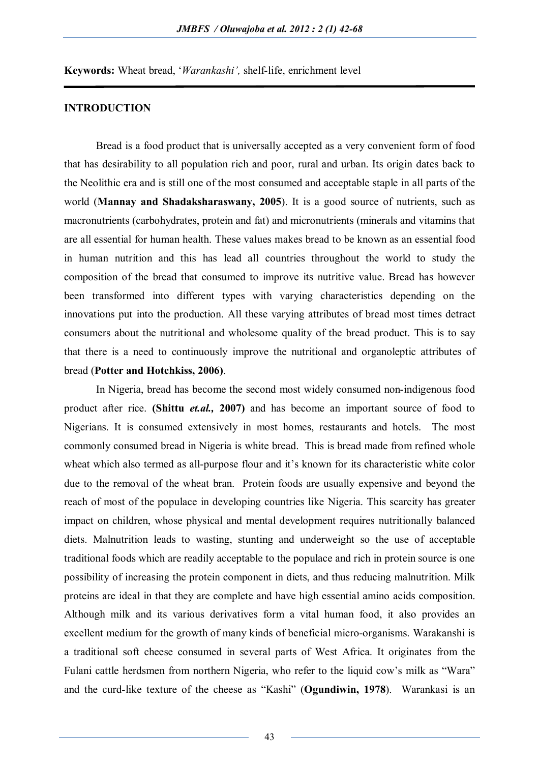**Keywords:** Wheat bread, '*Warankashi',* shelf-life, enrichment level

# **INTRODUCTION**

Bread is a food product that is universally accepted as a very convenient form of food that has desirability to all population rich and poor, rural and urban. Its origin dates back to the Neolithic era and is still one of the most consumed and acceptable staple in all parts of the world (**Mannay and Shadaksharaswany, 2005**). It is a good source of nutrients, such as macronutrients (carbohydrates, protein and fat) and micronutrients (minerals and vitamins that are all essential for human health. These values makes bread to be known as an essential food in human nutrition and this has lead all countries throughout the world to study the composition of the bread that consumed to improve its nutritive value. Bread has however been transformed into different types with varying characteristics depending on the innovations put into the production. All these varying attributes of bread most times detract consumers about the nutritional and wholesome quality of the bread product. This is to say that there is a need to continuously improve the nutritional and organoleptic attributes of bread (**Potter and Hotchkiss, 2006)**.

In Nigeria, bread has become the second most widely consumed non-indigenous food product after rice. **(Shittu** *et.al.,* **2007)** and has become an important source of food to Nigerians. It is consumed extensively in most homes, restaurants and hotels. The most commonly consumed bread in Nigeria is white bread. This is bread made from refined whole wheat which also termed as all-purpose flour and it's known for its characteristic white color due to the removal of the wheat bran. Protein foods are usually expensive and beyond the reach of most of the populace in developing countries like Nigeria. This scarcity has greater impact on children, whose physical and mental development requires nutritionally balanced diets. Malnutrition leads to wasting, stunting and underweight so the use of acceptable traditional foods which are readily acceptable to the populace and rich in protein source is one possibility of increasing the protein component in diets, and thus reducing malnutrition. Milk proteins are ideal in that they are complete and have high essential amino acids composition. Although milk and its various derivatives form a vital human food, it also provides an excellent medium for the growth of many kinds of beneficial micro-organisms. Warakanshi is a traditional soft cheese consumed in several parts of West Africa. It originates from the Fulani cattle herdsmen from northern Nigeria, who refer to the liquid cow's milk as "Wara" and the curd-like texture of the cheese as "Kashi" (**Ogundiwin, 1978**). Warankasi is an

43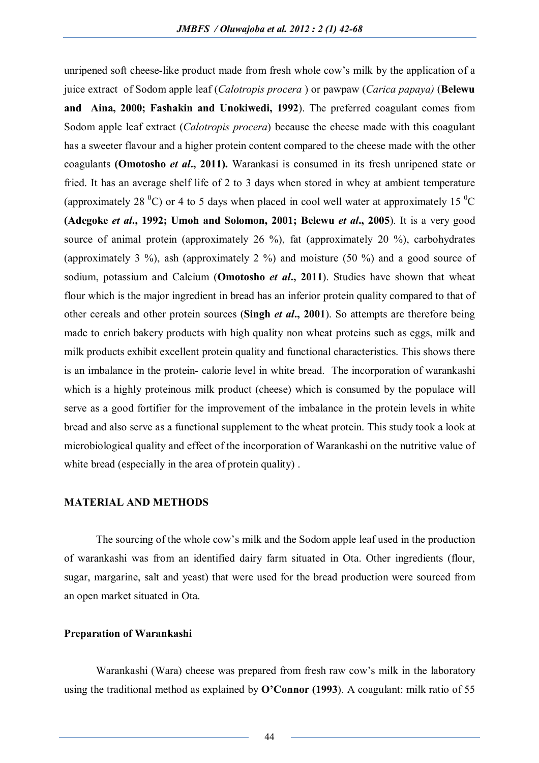unripened soft cheese-like product made from fresh whole cow's milk by the application of a juice extract of Sodom apple leaf (*Calotropis procera* ) or pawpaw (*Carica papaya)* (**Belewu and Aina, 2000; Fashakin and Unokiwedi, 1992**). The preferred coagulant comes from Sodom apple leaf extract (*Calotropis procera*) because the cheese made with this coagulant has a sweeter flavour and a higher protein content compared to the cheese made with the other coagulants **(Omotosho** *et al***., 2011).** Warankasi is consumed in its fresh unripened state or fried. It has an average shelf life of 2 to 3 days when stored in whey at ambient temperature (approximately 28  $^{\circ}$ C) or 4 to 5 days when placed in cool well water at approximately 15  $^{\circ}$ C **(Adegoke** *et al***., 1992; Umoh and Solomon, 2001; Belewu** *et al***., 2005**). It is a very good source of animal protein (approximately 26 %), fat (approximately 20 %), carbohydrates (approximately 3 %), ash (approximately 2 %) and moisture (50 %) and a good source of sodium, potassium and Calcium (**Omotosho** *et al***., 2011**). Studies have shown that wheat flour which is the major ingredient in bread has an inferior protein quality compared to that of other cereals and other protein sources (**Singh** *et al***., 2001**). So attempts are therefore being made to enrich bakery products with high quality non wheat proteins such as eggs, milk and milk products exhibit excellent protein quality and functional characteristics. This shows there is an imbalance in the protein- calorie level in white bread. The incorporation of warankashi which is a highly proteinous milk product (cheese) which is consumed by the populace will serve as a good fortifier for the improvement of the imbalance in the protein levels in white bread and also serve as a functional supplement to the wheat protein. This study took a look at microbiological quality and effect of the incorporation of Warankashi on the nutritive value of white bread (especially in the area of protein quality) .

## **MATERIAL AND METHODS**

The sourcing of the whole cow's milk and the Sodom apple leaf used in the production of warankashi was from an identified dairy farm situated in Ota. Other ingredients (flour, sugar, margarine, salt and yeast) that were used for the bread production were sourced from an open market situated in Ota.

#### **Preparation of Warankashi**

Warankashi (Wara) cheese was prepared from fresh raw cow's milk in the laboratory using the traditional method as explained by **O'Connor (1993**). A coagulant: milk ratio of 55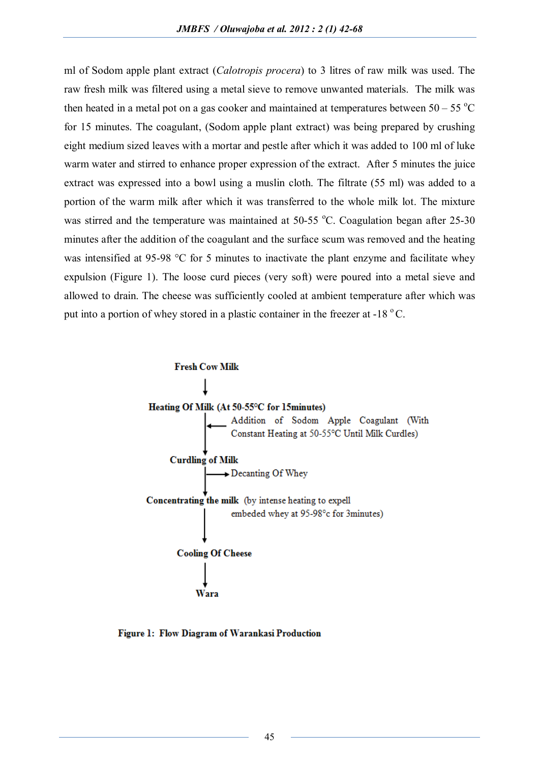ml of Sodom apple plant extract (*Calotropis procera*) to 3 litres of raw milk was used. The raw fresh milk was filtered using a metal sieve to remove unwanted materials. The milk was then heated in a metal pot on a gas cooker and maintained at temperatures between  $50 - 55$  °C for 15 minutes. The coagulant, (Sodom apple plant extract) was being prepared by crushing eight medium sized leaves with a mortar and pestle after which it was added to 100 ml of luke warm water and stirred to enhance proper expression of the extract. After 5 minutes the juice extract was expressed into a bowl using a muslin cloth. The filtrate (55 ml) was added to a portion of the warm milk after which it was transferred to the whole milk lot. The mixture was stirred and the temperature was maintained at  $50-55$  °C. Coagulation began after 25-30 minutes after the addition of the coagulant and the surface scum was removed and the heating was intensified at 95-98 °C for 5 minutes to inactivate the plant enzyme and facilitate whey expulsion (Figure 1). The loose curd pieces (very soft) were poured into a metal sieve and allowed to drain. The cheese was sufficiently cooled at ambient temperature after which was put into a portion of whey stored in a plastic container in the freezer at  $-18^\circ$ C.



Figure 1: Flow Diagram of Warankasi Production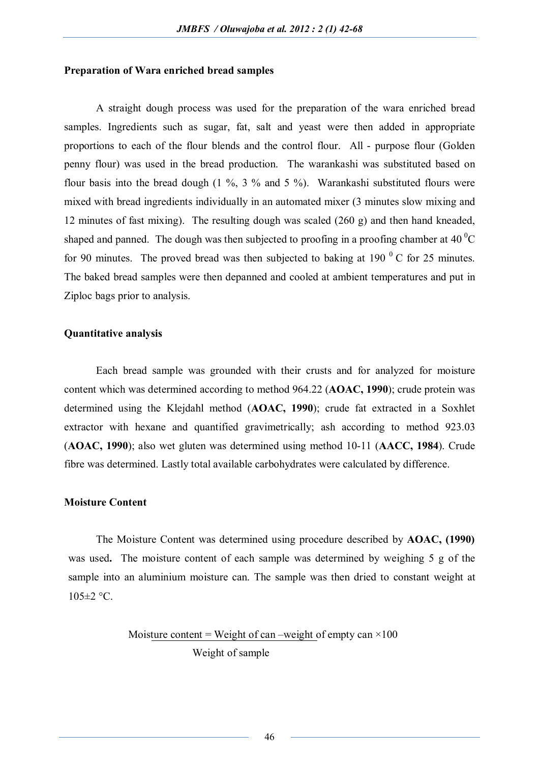### **Preparation of Wara enriched bread samples**

A straight dough process was used for the preparation of the wara enriched bread samples. Ingredients such as sugar, fat, salt and yeast were then added in appropriate proportions to each of the flour blends and the control flour. All - purpose flour (Golden penny flour) was used in the bread production. The warankashi was substituted based on flour basis into the bread dough  $(1 \%, 3 \%$  and  $5 \%)$ . Warankashi substituted flours were mixed with bread ingredients individually in an automated mixer (3 minutes slow mixing and 12 minutes of fast mixing). The resulting dough was scaled (260 g) and then hand kneaded, shaped and panned. The dough was then subjected to proofing in a proofing chamber at 40  $^{\circ}$ C for 90 minutes. The proved bread was then subjected to baking at 190 $\,^0$  C for 25 minutes. The baked bread samples were then depanned and cooled at ambient temperatures and put in Ziploc bags prior to analysis.

### **Quantitative analysis**

Each bread sample was grounded with their crusts and for analyzed for moisture content which was determined according to method 964.22 (**AOAC, 1990**); crude protein was determined using the Klejdahl method (**AOAC, 1990**); crude fat extracted in a Soxhlet extractor with hexane and quantified gravimetrically; ash according to method 923.03 (**AOAC, 1990**); also wet gluten was determined using method 10-11 (**AACC, 1984**). Crude fibre was determined. Lastly total available carbohydrates were calculated by difference.

## **Moisture Content**

The Moisture Content was determined using procedure described by **AOAC, (1990)** was used**.** The moisture content of each sample was determined by weighing 5 g of the sample into an aluminium moisture can. The sample was then dried to constant weight at  $105 \pm 2$  °C.

# Moisture content = Weight of can –weight of empty can  $\times$ 100 Weight of sample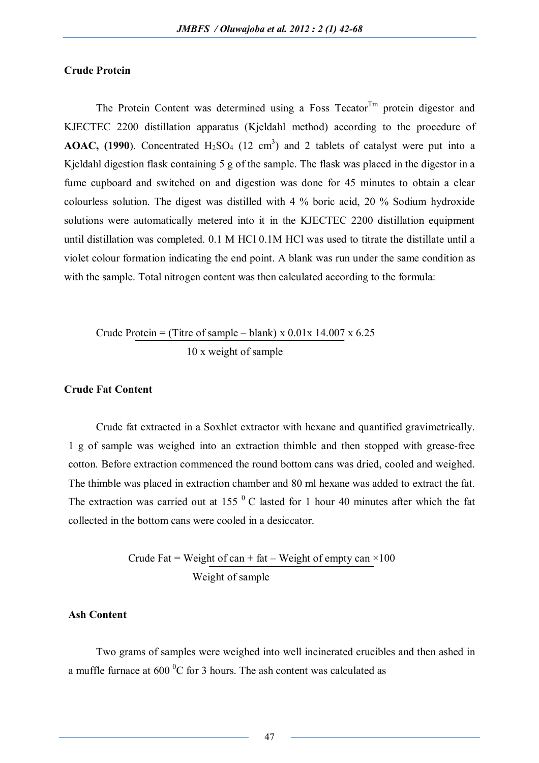# **Crude Protein**

The Protein Content was determined using a Foss Tecator<sup>Tm</sup> protein digestor and KJECTEC 2200 distillation apparatus (Kjeldahl method) according to the procedure of **AOAC, (1990**). Concentrated  $H_2SO_4$  (12 cm<sup>3</sup>) and 2 tablets of catalyst were put into a Kjeldahl digestion flask containing 5 g of the sample. The flask was placed in the digestor in a fume cupboard and switched on and digestion was done for 45 minutes to obtain a clear colourless solution. The digest was distilled with 4 % boric acid, 20 % Sodium hydroxide solutions were automatically metered into it in the KJECTEC 2200 distillation equipment until distillation was completed. 0.1 M HCl 0.1M HCl was used to titrate the distillate until a violet colour formation indicating the end point. A blank was run under the same condition as with the sample. Total nitrogen content was then calculated according to the formula:

# Crude Protein = (Titre of sample – blank) x  $0.01x$  14.007 x  $6.25$ 10 x weight of sample

#### **Crude Fat Content**

Crude fat extracted in a Soxhlet extractor with hexane and quantified gravimetrically. 1 g of sample was weighed into an extraction thimble and then stopped with grease-free cotton. Before extraction commenced the round bottom cans was dried, cooled and weighed. The thimble was placed in extraction chamber and 80 ml hexane was added to extract the fat. The extraction was carried out at 155 $^{0}$  C lasted for 1 hour 40 minutes after which the fat collected in the bottom cans were cooled in a desiccator.

> Crude Fat = Weight of can + fat – Weight of empty can  $\times$ 100 Weight of sample

### **Ash Content**

Two grams of samples were weighed into well incinerated crucibles and then ashed in a muffle furnace at  $600<sup>0</sup>C$  for 3 hours. The ash content was calculated as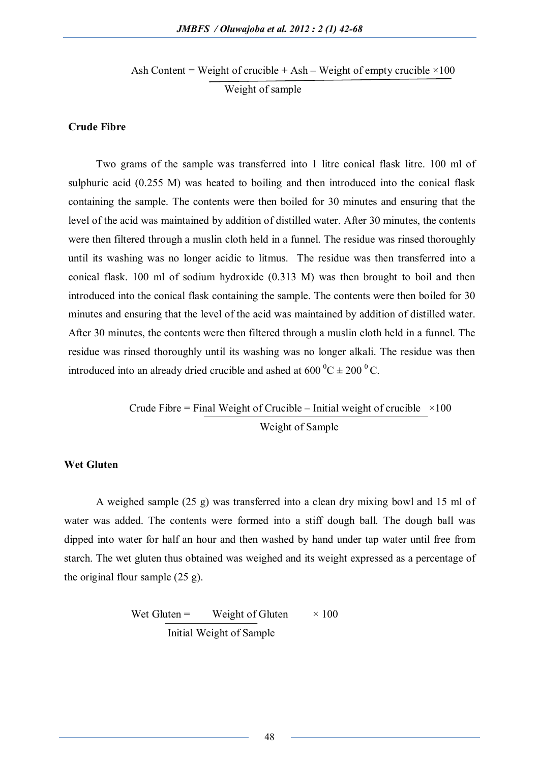Ash Content = Weight of crucible + Ash – Weight of empty crucible  $\times 100$ Weight of sample

## **Crude Fibre**

Two grams of the sample was transferred into 1 litre conical flask litre. 100 ml of sulphuric acid (0.255 M) was heated to boiling and then introduced into the conical flask containing the sample. The contents were then boiled for 30 minutes and ensuring that the level of the acid was maintained by addition of distilled water. After 30 minutes, the contents were then filtered through a muslin cloth held in a funnel. The residue was rinsed thoroughly until its washing was no longer acidic to litmus. The residue was then transferred into a conical flask. 100 ml of sodium hydroxide (0.313 M) was then brought to boil and then introduced into the conical flask containing the sample. The contents were then boiled for 30 minutes and ensuring that the level of the acid was maintained by addition of distilled water. After 30 minutes, the contents were then filtered through a muslin cloth held in a funnel. The residue was rinsed thoroughly until its washing was no longer alkali. The residue was then introduced into an already dried crucible and ashed at  $600\,^0C \pm 200\,^0C$ .

> Crude Fibre = Final Weight of Crucible – Initial weight of crucible  $\times 100$ Weight of Sample

# **Wet Gluten**

A weighed sample (25 g) was transferred into a clean dry mixing bowl and 15 ml of water was added. The contents were formed into a stiff dough ball. The dough ball was dipped into water for half an hour and then washed by hand under tap water until free from starch. The wet gluten thus obtained was weighed and its weight expressed as a percentage of the original flour sample (25 g).

> Wet Gluten = Weight of Gluten  $\times 100$ Initial Weight of Sample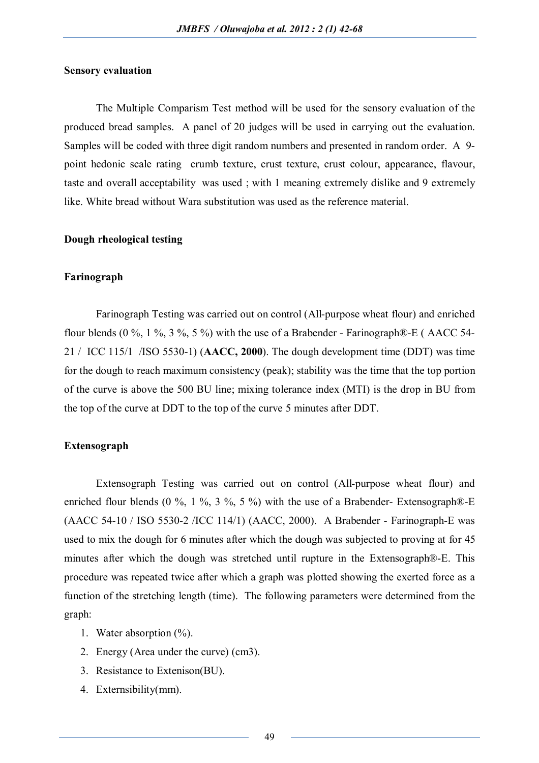## **Sensory evaluation**

The Multiple Comparism Test method will be used for the sensory evaluation of the produced bread samples. A panel of 20 judges will be used in carrying out the evaluation. Samples will be coded with three digit random numbers and presented in random order. A 9 point hedonic scale rating crumb texture, crust texture, crust colour, appearance, flavour, taste and overall acceptability was used ; with 1 meaning extremely dislike and 9 extremely like. White bread without Wara substitution was used as the reference material.

## **Dough rheological testing**

### **Farinograph**

Farinograph Testing was carried out on control (All-purpose wheat flour) and enriched flour blends (0 %, 1 %, 3 %, 5 %) with the use of a Brabender - Farinograph $\mathbb{R}$  E (AACC 54-21 / ICC 115/1 /ISO 5530-1) (**AACC, 2000**). The dough development time (DDT) was time for the dough to reach maximum consistency (peak); stability was the time that the top portion of the curve is above the 500 BU line; mixing tolerance index (MTI) is the drop in BU from the top of the curve at DDT to the top of the curve 5 minutes after DDT.

## **Extensograph**

Extensograph Testing was carried out on control (All-purpose wheat flour) and enriched flour blends (0 %, 1 %, 3 %, 5 %) with the use of a Brabender-Extensograph $\mathbb{B}$ -E (AACC 54-10 / ISO 5530-2 /ICC 114/1) (AACC, 2000). A Brabender - Farinograph-E was used to mix the dough for 6 minutes after which the dough was subjected to proving at for 45 minutes after which the dough was stretched until rupture in the Extensograph®-E. This procedure was repeated twice after which a graph was plotted showing the exerted force as a function of the stretching length (time). The following parameters were determined from the graph:

- 1. Water absorption (%).
- 2. Energy (Area under the curve) (cm3).
- 3. Resistance to Extenison(BU).
- 4. Externsibility(mm).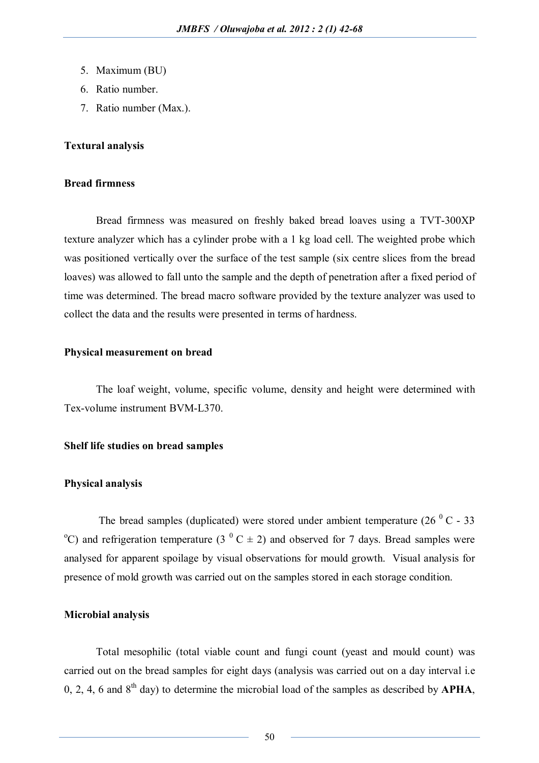- 5. Maximum (BU)
- 6. Ratio number.
- 7. Ratio number (Max.).

# **Textural analysis**

## **Bread firmness**

Bread firmness was measured on freshly baked bread loaves using a TVT-300XP texture analyzer which has a cylinder probe with a 1 kg load cell. The weighted probe which was positioned vertically over the surface of the test sample (six centre slices from the bread loaves) was allowed to fall unto the sample and the depth of penetration after a fixed period of time was determined. The bread macro software provided by the texture analyzer was used to collect the data and the results were presented in terms of hardness.

# **Physical measurement on bread**

The loaf weight, volume, specific volume, density and height were determined with Tex-volume instrument BVM-L370.

## **Shelf life studies on bread samples**

### **Physical analysis**

The bread samples (duplicated) were stored under ambient temperature  $(26\degree C - 33)$ <sup>o</sup>C) and refrigeration temperature (3<sup>o</sup> C  $\pm$  2) and observed for 7 days. Bread samples were analysed for apparent spoilage by visual observations for mould growth. Visual analysis for presence of mold growth was carried out on the samples stored in each storage condition.

## **Microbial analysis**

Total mesophilic (total viable count and fungi count (yeast and mould count) was carried out on the bread samples for eight days (analysis was carried out on a day interval i.e 0, 2, 4, 6 and 8th day) to determine the microbial load of the samples as described by **APHA**,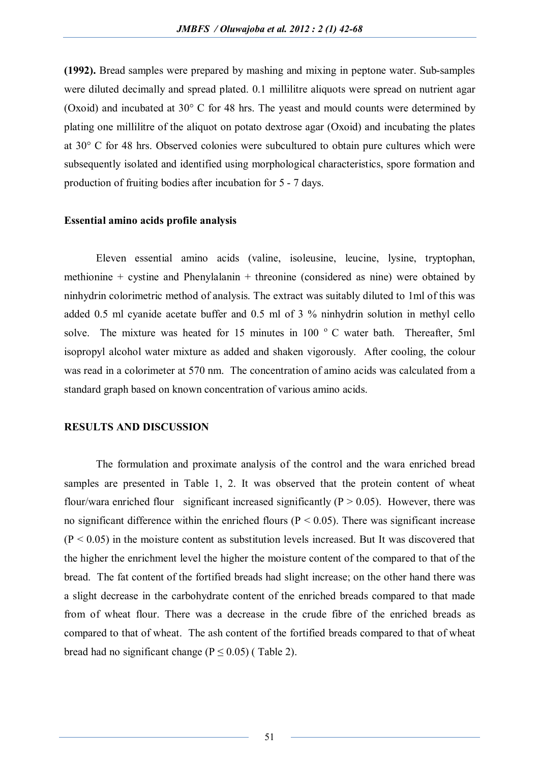**(1992).** Bread samples were prepared by mashing and mixing in peptone water. Sub-samples were diluted decimally and spread plated. 0.1 millilitre aliquots were spread on nutrient agar (Oxoid) and incubated at 30° C for 48 hrs. The yeast and mould counts were determined by plating one millilitre of the aliquot on potato dextrose agar (Oxoid) and incubating the plates at 30° C for 48 hrs. Observed colonies were subcultured to obtain pure cultures which were subsequently isolated and identified using morphological characteristics, spore formation and production of fruiting bodies after incubation for 5 - 7 days.

## **Essential amino acids profile analysis**

Eleven essential amino acids (valine, isoleusine, leucine, lysine, tryptophan, methionine + cystine and Phenylalanin + threonine (considered as nine) were obtained by ninhydrin colorimetric method of analysis. The extract was suitably diluted to 1ml of this was added 0.5 ml cyanide acetate buffer and 0.5 ml of 3 % ninhydrin solution in methyl cello solve. The mixture was heated for 15 minutes in 100 $\degree$  C water bath. Thereafter, 5ml isopropyl alcohol water mixture as added and shaken vigorously. After cooling, the colour was read in a colorimeter at 570 nm. The concentration of amino acids was calculated from a standard graph based on known concentration of various amino acids.

## **RESULTS AND DISCUSSION**

The formulation and proximate analysis of the control and the wara enriched bread samples are presented in Table 1, 2. It was observed that the protein content of wheat flour/wara enriched flour significant increased significantly ( $P > 0.05$ ). However, there was no significant difference within the enriched flours ( $P < 0.05$ ). There was significant increase  $(P < 0.05)$  in the moisture content as substitution levels increased. But It was discovered that the higher the enrichment level the higher the moisture content of the compared to that of the bread. The fat content of the fortified breads had slight increase; on the other hand there was a slight decrease in the carbohydrate content of the enriched breads compared to that made from of wheat flour. There was a decrease in the crude fibre of the enriched breads as compared to that of wheat. The ash content of the fortified breads compared to that of wheat bread had no significant change  $(P < 0.05)$  (Table 2).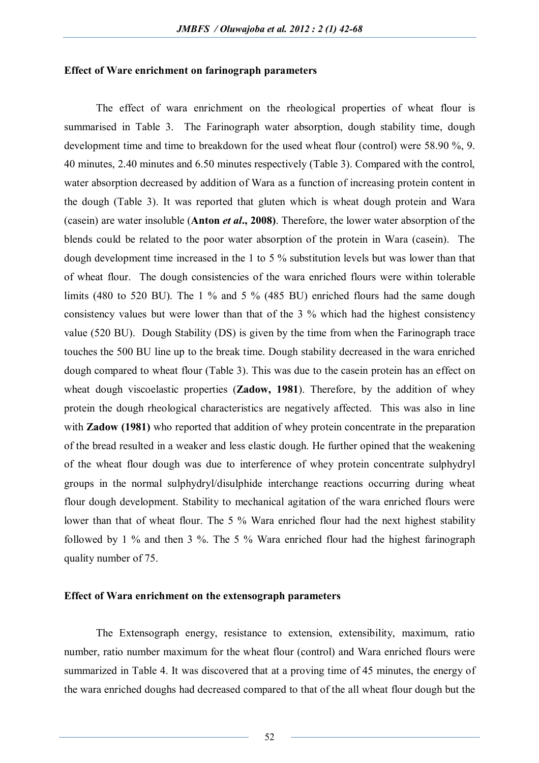#### **Effect of Ware enrichment on farinograph parameters**

The effect of wara enrichment on the rheological properties of wheat flour is summarised in Table 3. The Farinograph water absorption, dough stability time, dough development time and time to breakdown for the used wheat flour (control) were 58.90 %, 9. 40 minutes, 2.40 minutes and 6.50 minutes respectively (Table 3). Compared with the control, water absorption decreased by addition of Wara as a function of increasing protein content in the dough (Table 3). It was reported that gluten which is wheat dough protein and Wara (casein) are water insoluble (**Anton** *et al***., 2008)**. Therefore, the lower water absorption of the blends could be related to the poor water absorption of the protein in Wara (casein). The dough development time increased in the 1 to 5 % substitution levels but was lower than that of wheat flour. The dough consistencies of the wara enriched flours were within tolerable limits (480 to 520 BU). The 1 % and 5 % (485 BU) enriched flours had the same dough consistency values but were lower than that of the 3 % which had the highest consistency value (520 BU). Dough Stability (DS) is given by the time from when the Farinograph trace touches the 500 BU line up to the break time. Dough stability decreased in the wara enriched dough compared to wheat flour (Table 3). This was due to the casein protein has an effect on wheat dough viscoelastic properties (**Zadow, 1981**). Therefore, by the addition of whey protein the dough rheological characteristics are negatively affected. This was also in line with **Zadow (1981)** who reported that addition of whey protein concentrate in the preparation of the bread resulted in a weaker and less elastic dough. He further opined that the weakening of the wheat flour dough was due to interference of whey protein concentrate sulphydryl groups in the normal sulphydryl/disulphide interchange reactions occurring during wheat flour dough development. Stability to mechanical agitation of the wara enriched flours were lower than that of wheat flour. The 5 % Wara enriched flour had the next highest stability followed by 1 % and then 3 %. The 5 % Wara enriched flour had the highest farinograph quality number of 75.

## **Effect of Wara enrichment on the extensograph parameters**

The Extensograph energy, resistance to extension, extensibility, maximum, ratio number, ratio number maximum for the wheat flour (control) and Wara enriched flours were summarized in Table 4. It was discovered that at a proving time of 45 minutes, the energy of the wara enriched doughs had decreased compared to that of the all wheat flour dough but the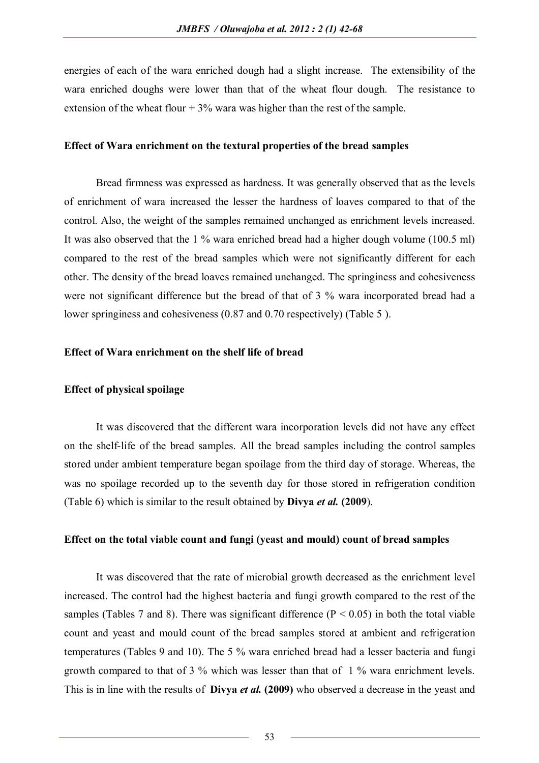energies of each of the wara enriched dough had a slight increase. The extensibility of the wara enriched doughs were lower than that of the wheat flour dough. The resistance to extension of the wheat flour  $+3\%$  wara was higher than the rest of the sample.

# **Effect of Wara enrichment on the textural properties of the bread samples**

Bread firmness was expressed as hardness. It was generally observed that as the levels of enrichment of wara increased the lesser the hardness of loaves compared to that of the control. Also, the weight of the samples remained unchanged as enrichment levels increased. It was also observed that the 1 % wara enriched bread had a higher dough volume (100.5 ml) compared to the rest of the bread samples which were not significantly different for each other. The density of the bread loaves remained unchanged. The springiness and cohesiveness were not significant difference but the bread of that of 3 % wara incorporated bread had a lower springiness and cohesiveness (0.87 and 0.70 respectively) (Table 5 ).

# **Effect of Wara enrichment on the shelf life of bread**

## **Effect of physical spoilage**

It was discovered that the different wara incorporation levels did not have any effect on the shelf-life of the bread samples. All the bread samples including the control samples stored under ambient temperature began spoilage from the third day of storage. Whereas, the was no spoilage recorded up to the seventh day for those stored in refrigeration condition (Table 6) which is similar to the result obtained by **Divya** *et al.* **(2009**).

### **Effect on the total viable count and fungi (yeast and mould) count of bread samples**

It was discovered that the rate of microbial growth decreased as the enrichment level increased. The control had the highest bacteria and fungi growth compared to the rest of the samples (Tables 7 and 8). There was significant difference ( $P < 0.05$ ) in both the total viable count and yeast and mould count of the bread samples stored at ambient and refrigeration temperatures (Tables 9 and 10). The 5 % wara enriched bread had a lesser bacteria and fungi growth compared to that of 3 % which was lesser than that of 1 % wara enrichment levels. This is in line with the results of **Divya** *et al.* **(2009)** who observed a decrease in the yeast and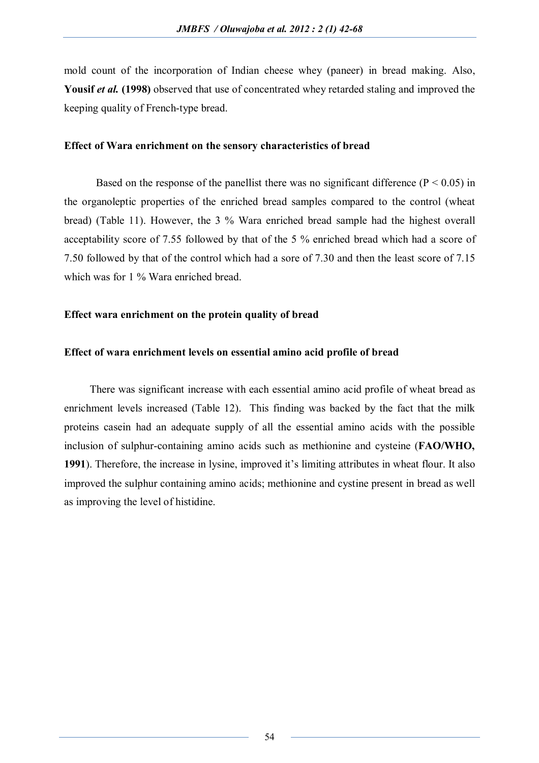mold count of the incorporation of Indian cheese whey (paneer) in bread making. Also, Yousif *et al.* (1998) observed that use of concentrated whey retarded staling and improved the keeping quality of French-type bread.

## **Effect of Wara enrichment on the sensory characteristics of bread**

Based on the response of the panellist there was no significant difference ( $P < 0.05$ ) in the organoleptic properties of the enriched bread samples compared to the control (wheat bread) (Table 11). However, the 3 % Wara enriched bread sample had the highest overall acceptability score of 7.55 followed by that of the 5 % enriched bread which had a score of 7.50 followed by that of the control which had a sore of 7.30 and then the least score of 7.15 which was for 1 % Wara enriched bread.

# **Effect wara enrichment on the protein quality of bread**

# **Effect of wara enrichment levels on essential amino acid profile of bread**

There was significant increase with each essential amino acid profile of wheat bread as enrichment levels increased (Table 12). This finding was backed by the fact that the milk proteins casein had an adequate supply of all the essential amino acids with the possible inclusion of sulphur-containing amino acids such as methionine and cysteine (**FAO/WHO, 1991**). Therefore, the increase in lysine, improved it's limiting attributes in wheat flour. It also improved the sulphur containing amino acids; methionine and cystine present in bread as well as improving the level of histidine.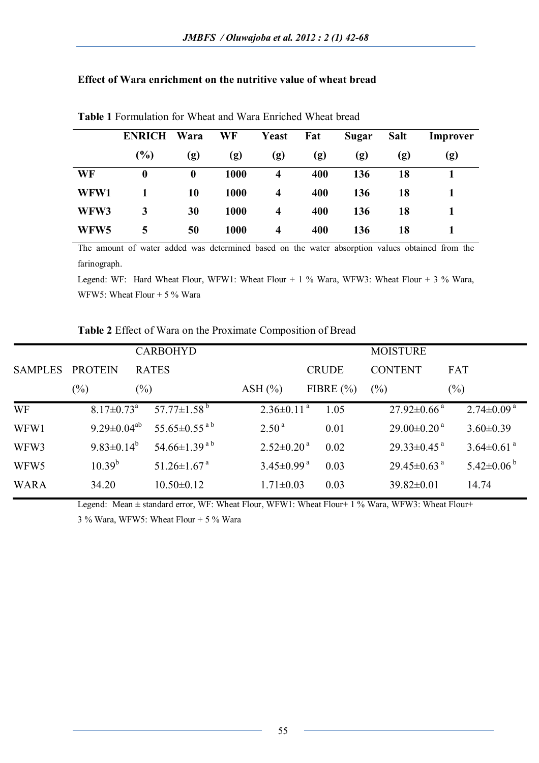# **Effect of Wara enrichment on the nutritive value of wheat bread**

|      | <b>ENRICH</b>    | Wara             | WF   | Yeast | Fat | Sugar | <b>Salt</b> | Improver |
|------|------------------|------------------|------|-------|-----|-------|-------------|----------|
|      | (%)              | (g)              | (g)  | (g)   | (g) | (g)   | (g)         | (g)      |
| WF   | $\boldsymbol{0}$ | $\boldsymbol{0}$ | 1000 | 4     | 400 | 136   | 18          |          |
| WFW1 |                  | 10               | 1000 | 4     | 400 | 136   | 18          |          |
| WFW3 | 3                | 30               | 1000 | 4     | 400 | 136   | 18          |          |
| WFW5 | 5                | 50               | 1000 | 4     | 400 | 136   | 18          |          |

**Table 1** Formulation for Wheat and Wara Enriched Wheat bread

The amount of water added was determined based on the water absorption values obtained from the farinograph.

Legend: WF: Hard Wheat Flour, WFW1: Wheat Flour + 1 % Wara, WFW3: Wheat Flour + 3 % Wara, WFW5: Wheat Flour  $+ 5 \%$  Wara

# **Table 2** Effect of Wara on the Proximate Composition of Bread

|                  |                               | <b>CARBOHYD</b>                |                              |               | <b>MOISTURE</b>               |                              |
|------------------|-------------------------------|--------------------------------|------------------------------|---------------|-------------------------------|------------------------------|
| <b>SAMPLES</b>   | <b>PROTEIN</b>                | <b>RATES</b>                   |                              | <b>CRUDE</b>  | <b>CONTENT</b>                | FAT                          |
|                  | $(\%)$                        | $(\%)$                         | ASH $(\% )$                  | FIBRE $(\% )$ | $(\%)$                        | $(\%)$                       |
| <b>WF</b>        | $8.17 \pm 0.73$ <sup>a</sup>  | 57.77 $\pm$ 1.58 <sup>b</sup>  | $2.36\pm0.11^{a}$            | 1.05          | $27.92 \pm 0.66$ <sup>a</sup> | $2.74 \pm 0.09$ <sup>a</sup> |
| WFW1             | 9.29 $\pm$ 0.04 <sup>ab</sup> | 55.65 $\pm$ 0.55 <sup>ab</sup> | 2.50 <sup>a</sup>            | 0.01          | $29.00\pm0.20$ <sup>a</sup>   | $3.60 \pm 0.39$              |
| WFW3             | 9.83 $\pm$ 0.14 <sup>b</sup>  | 54.66 $\pm$ 1.39 <sup>ab</sup> | $2.52 \pm 0.20$ <sup>a</sup> | 0.02          | $29.33 \pm 0.45$ <sup>a</sup> | $3.64 \pm 0.61$ <sup>a</sup> |
| WFW <sub>5</sub> | $10.39^{b}$                   | $51.26 \pm 1.67$ <sup>a</sup>  | $3.45 \pm 0.99$ <sup>a</sup> | 0.03          | $29.45 \pm 0.63$ <sup>a</sup> | $5.42 \pm 0.06^{\mathrm{b}}$ |
| <b>WARA</b>      | 34.20                         | $10.50 \pm 0.12$               | $1.71 \pm 0.03$              | 0.03          | $39.82 \pm 0.01$              | 14.74                        |

Legend: Mean  $\pm$  standard error, WF: Wheat Flour, WFW1: Wheat Flour+ 1 % Wara, WFW3: Wheat Flour+

3 % Wara, WFW5: Wheat Flour + 5 % Wara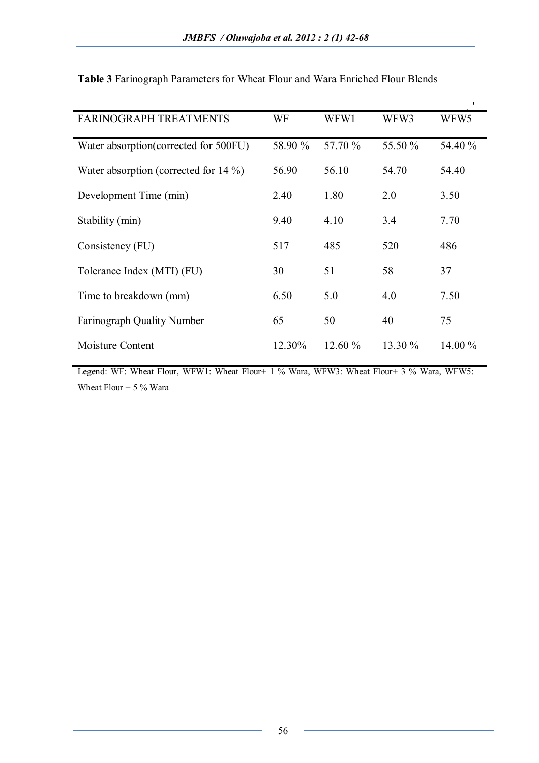| <b>FARINOGRAPH TREATMENTS</b>            | WF      | WFW1    | WFW3    | WFW5    |
|------------------------------------------|---------|---------|---------|---------|
| Water absorption (corrected for 500FU)   | 58.90 % | 57.70 % | 55.50 % | 54.40 % |
| Water absorption (corrected for $14\%$ ) | 56.90   | 56.10   | 54.70   | 54.40   |
| Development Time (min)                   | 2.40    | 1.80    | 2.0     | 3.50    |
| Stability (min)                          | 9.40    | 4.10    | 3.4     | 7.70    |
| Consistency (FU)                         | 517     | 485     | 520     | 486     |
| Tolerance Index (MTI) (FU)               | 30      | 51      | 58      | 37      |
| Time to breakdown (mm)                   | 6.50    | 5.0     | 4.0     | 7.50    |
| <b>Farinograph Quality Number</b>        | 65      | 50      | 40      | 75      |
| Moisture Content                         | 12.30%  | 12.60%  | 13.30 % | 14.00 % |

**Table 3** Farinograph Parameters for Wheat Flour and Wara Enriched Flour Blends

Legend: WF: Wheat Flour, WFW1: Wheat Flour+ 1 % Wara, WFW3: Wheat Flour+ 3 % Wara, WFW5: Wheat Flour  $+ 5 \%$  Wara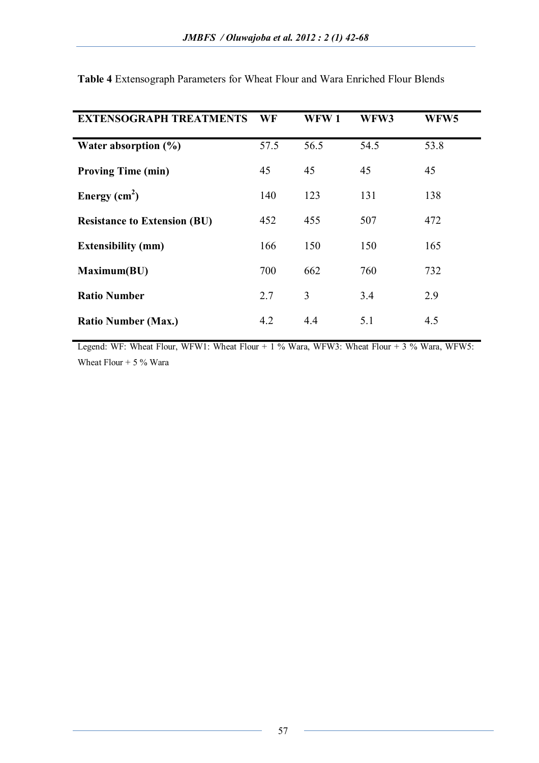| <b>EXTENSOGRAPH TREATMENTS</b>      | WF   | WFW1 | WFW3 | WFW <sub>5</sub> |
|-------------------------------------|------|------|------|------------------|
| Water absorption $(\% )$            | 57.5 | 56.5 | 54.5 | 53.8             |
| <b>Proving Time (min)</b>           | 45   | 45   | 45   | 45               |
| Energy $(cm2)$                      | 140  | 123  | 131  | 138              |
| <b>Resistance to Extension (BU)</b> | 452  | 455  | 507  | 472              |
| <b>Extensibility (mm)</b>           | 166  | 150  | 150  | 165              |
| Maximum(BU)                         | 700  | 662  | 760  | 732              |
| <b>Ratio Number</b>                 | 2.7  | 3    | 3.4  | 2.9              |
| <b>Ratio Number (Max.)</b>          | 4.2  | 4.4  | 5.1  | 4.5              |

**Table 4** Extensograph Parameters for Wheat Flour and Wara Enriched Flour Blends

Legend: WF: Wheat Flour, WFW1: Wheat Flour + 1 % Wara, WFW3: Wheat Flour + 3 % Wara, WFW5: Wheat Flour  $+ 5 \%$  Wara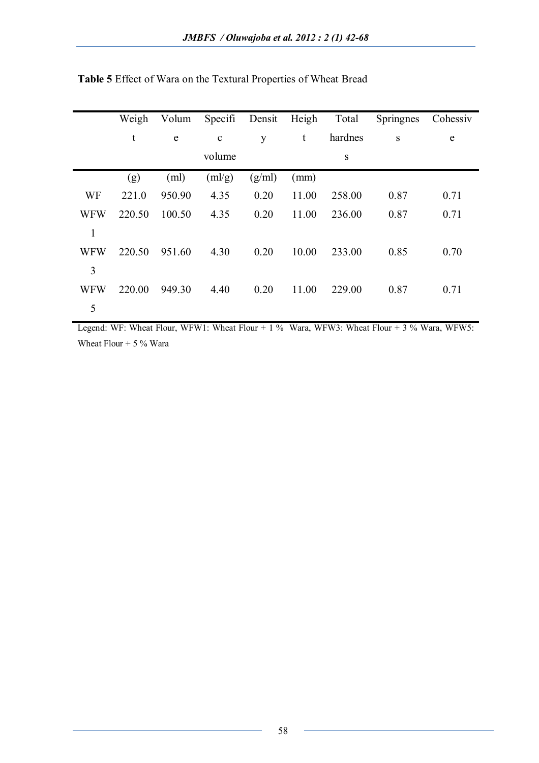|            | Weigh  | Volum  | Specifi           | Densit | Heigh | Total   | Springnes | Cohessiv    |
|------------|--------|--------|-------------------|--------|-------|---------|-----------|-------------|
|            | t      | e      | $\mathbf c$       | y      | t     | hardnes | S         | $\mathbf e$ |
|            |        |        | volume            |        |       | S       |           |             |
|            | (g)    | (ml)   | $(m\frac{lg}{g})$ | (g/ml) | (mm)  |         |           |             |
| WF         | 221.0  | 950.90 | 4.35              | 0.20   | 11.00 | 258.00  | 0.87      | 0.71        |
| <b>WFW</b> | 220.50 | 100.50 | 4.35              | 0.20   | 11.00 | 236.00  | 0.87      | 0.71        |
| 1          |        |        |                   |        |       |         |           |             |
| <b>WFW</b> | 220.50 | 951.60 | 4.30              | 0.20   | 10.00 | 233.00  | 0.85      | 0.70        |
| 3          |        |        |                   |        |       |         |           |             |
| <b>WFW</b> | 220.00 | 949.30 | 4.40              | 0.20   | 11.00 | 229.00  | 0.87      | 0.71        |
| 5          |        |        |                   |        |       |         |           |             |

**Table 5** Effect of Wara on the Textural Properties of Wheat Bread

Legend: WF: Wheat Flour, WFW1: Wheat Flour + 1 % Wara, WFW3: Wheat Flour + 3 % Wara, WFW5: Wheat Flour  $+ 5 \%$  Wara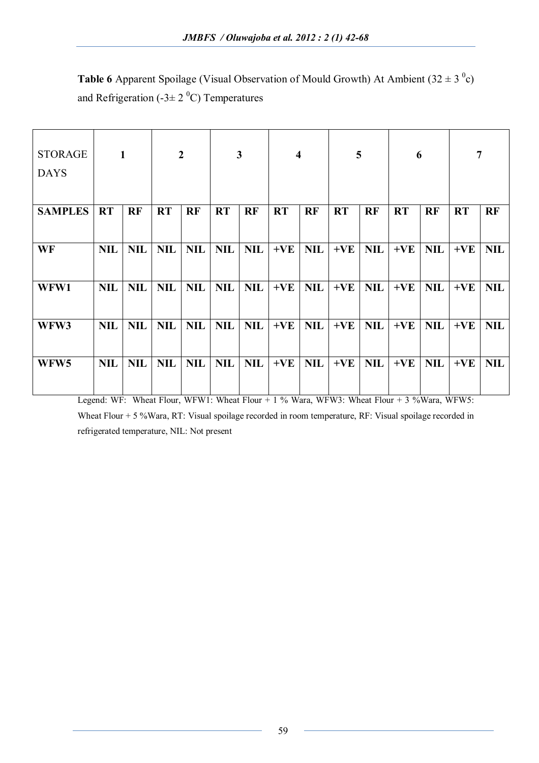**Table 6** Apparent Spoilage (Visual Observation of Mould Growth) At Ambient  $(32 \pm 3)^\circ$ c) and Refrigeration (-3 $\pm$  2<sup>0</sup>C) Temperatures

| <b>STORAGE</b><br><b>DAYS</b> |            | $\mathbf{1}$ |            | $\overline{2}$ |            | $\mathbf{3}$ |           | $\overline{\mathbf{4}}$ |           | 5          | 6         |            | 7         |            |
|-------------------------------|------------|--------------|------------|----------------|------------|--------------|-----------|-------------------------|-----------|------------|-----------|------------|-----------|------------|
| <b>SAMPLES</b>                | <b>RT</b>  | <b>RF</b>    | <b>RT</b>  | <b>RF</b>      | <b>RT</b>  | <b>RF</b>    | <b>RT</b> | <b>RF</b>               | <b>RT</b> | <b>RF</b>  | <b>RT</b> | <b>RF</b>  | <b>RT</b> | <b>RF</b>  |
| WF                            | <b>NIL</b> | <b>NIL</b>   | <b>NIL</b> | <b>NIL</b>     | <b>NIL</b> | <b>NIL</b>   | $+VE$     | <b>NIL</b>              | $+VE$     | <b>NIL</b> | $+VE$     | <b>NIL</b> | $+VE$     | <b>NIL</b> |
| WFW1                          | <b>NIL</b> | <b>NIL</b>   | <b>NIL</b> | <b>NIL</b>     | <b>NIL</b> | <b>NIL</b>   | $+VE$     | <b>NIL</b>              | $+VE$     | <b>NIL</b> | $+VE$     | <b>NIL</b> | $+VE$     | <b>NIL</b> |
| WFW3                          | <b>NIL</b> | <b>NIL</b>   | <b>NIL</b> | <b>NIL</b>     | <b>NIL</b> | <b>NIL</b>   | $+VE$     | <b>NIL</b>              | $+VE$     | <b>NIL</b> | $+VE$     | <b>NIL</b> | $+VE$     | <b>NIL</b> |
| WFW <sub>5</sub>              | <b>NIL</b> | <b>NIL</b>   | <b>NIL</b> | <b>NIL</b>     | <b>NIL</b> | <b>NIL</b>   | $+VE$     | <b>NIL</b>              | $+VE$     | <b>NIL</b> | $+VE$     | <b>NIL</b> | $+VE$     | <b>NIL</b> |

Legend: WF: Wheat Flour, WFW1: Wheat Flour + 1 % Wara, WFW3: Wheat Flour + 3 %Wara, WFW5: Wheat Flour + 5 %Wara, RT: Visual spoilage recorded in room temperature, RF: Visual spoilage recorded in refrigerated temperature, NIL: Not present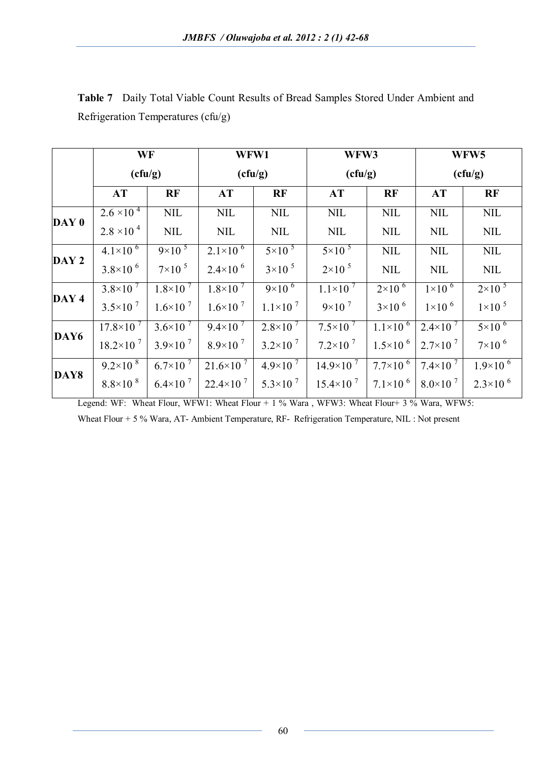|                  | WF<br>(cfu/g)         |                      | WFW1                  |                      | WFW3                 |                      |                      | WFW5                 |
|------------------|-----------------------|----------------------|-----------------------|----------------------|----------------------|----------------------|----------------------|----------------------|
|                  |                       |                      | (cfu/g)               |                      | (cfu/g)              |                      | (cfu/g)              |                      |
|                  | AT                    | RF                   | AT                    | <b>RF</b>            | <b>AT</b>            | <b>RF</b>            | AT                   | <b>RF</b>            |
|                  | $2.6 \times 10^{-4}$  | <b>NIL</b>           | <b>NIL</b>            | <b>NIL</b>           | <b>NIL</b>           | <b>NIL</b>           | <b>NIL</b>           | <b>NIL</b>           |
| DAY 0            | $2.8 \times 10^{-4}$  | $\text{NIL}$         | <b>NIL</b>            | <b>NIL</b>           | <b>NIL</b>           | $\text{NIL}$         | <b>NIL</b>           | <b>NIL</b>           |
|                  | $4.1 \times 10^{-6}$  | $9 \times 10^{-5}$   | $2.1 \times 10^{-6}$  | $5 \times 10^{-5}$   | $5\times10^{-5}$     | <b>NIL</b>           | <b>NIL</b>           | <b>NIL</b>           |
| DAY 2            | $3.8 \times 10^{-6}$  | $7\times10^{-5}$     | $2.4 \times 10^{-6}$  | $3\times10^{-5}$     | $2 \times 10^{-5}$   | <b>NIL</b>           | <b>NIL</b>           | <b>NIL</b>           |
|                  | $3.8 \times 10^{-7}$  | $1.8 \times 10^{-7}$ | $1.8 \times 10^{-7}$  | $9 \times 10^{-6}$   | $1.1 \times 10^{-7}$ | $2 \times 10^{-6}$   | $1\times10^{-6}$     | $2\times10^{-5}$     |
| DAY <sub>4</sub> | $3.5 \times 10^{-7}$  | $1.6 \times 10^{-7}$ | $1.6 \times 10^{-7}$  | $1.1 \times 10^{-7}$ | $9 \times 10^{-7}$   | $3\times10^{-6}$     | $1\times10^{-6}$     | $1\times10^{-5}$     |
| DAY6             | $17.8 \times 10^{-7}$ | $3.6 \times 10^{-7}$ | $9.4 \times 10^{7}$   | $2.8 \times 10^{-7}$ | $7.5 \times 10^{-7}$ | $1.1 \times 10^{-6}$ | $2.4 \times 10^{-7}$ | $5 \times 10^{-6}$   |
|                  | $18.2\times10^{7}$    | $3.9 \times 10^{-7}$ | $8.9\times10^{7}$     | $3.2 \times 10^{-7}$ | $7.2 \times 10^{-7}$ | $1.5 \times 10^{-6}$ | $2.7\times10^{-7}$   | $7\times10^{-6}$     |
|                  | $9.2 \times 10^{8}$   | $6.7\times10^{7}$    | $21.6 \times 10^{-7}$ | $4.9\times10^{7}$    | $14.9\times10^{7}$   | $7.7\times10^{-6}$   | 7.4×10 $^7$          | $1.9\times10^{-6}$   |
| DAY8             | $8.8 \times 10^{-8}$  | $6.4 \times 10^{-7}$ | $22.4 \times 10^{-7}$ | $5.3 \times 10^{-7}$ | $15.4 \times 10^{7}$ | $7.1 \times 10^{-6}$ | $8.0\times10^{-7}$   | $2.3 \times 10^{-6}$ |

**Table 7** Daily Total Viable Count Results of Bread Samples Stored Under Ambient and Refrigeration Temperatures (cfu/g)

Legend: WF: Wheat Flour, WFW1: Wheat Flour + 1 % Wara, WFW3: Wheat Flour + 3 % Wara, WFW5: Wheat Flour + 5 % Wara, AT- Ambient Temperature, RF- Refrigeration Temperature, NIL : Not present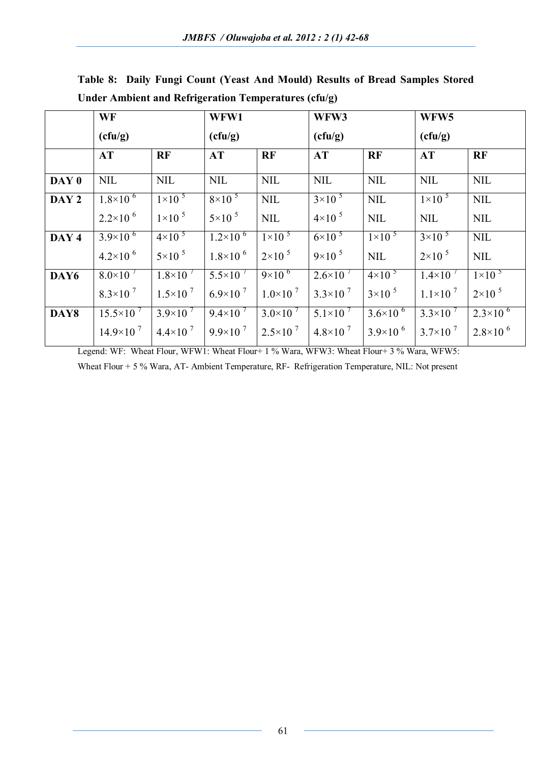|       | <b>WF</b>             |                      | WFW1                 |                      | WFW3                 |                      | WFW5                 |                      |
|-------|-----------------------|----------------------|----------------------|----------------------|----------------------|----------------------|----------------------|----------------------|
|       | (cfu/g)               |                      | (cfu/g)              |                      | (cfu/g)              |                      | (cfu/g)              |                      |
|       | AT                    | <b>RF</b>            | <b>AT</b>            | <b>RF</b>            | <b>AT</b>            | <b>RF</b>            | <b>AT</b>            | <b>RF</b>            |
| DAY 0 | <b>NIL</b>            | <b>NIL</b>           | <b>NIL</b>           | <b>NIL</b>           | <b>NIL</b>           | <b>NIL</b>           | <b>NIL</b>           | <b>NIL</b>           |
| DAY 2 | $1.8 \times 10^{-6}$  | $1\times10^{-5}$     | $8\times10^{-5}$     | <b>NIL</b>           | $3 \times 10^{-5}$   | <b>NIL</b>           | $1\times10^{-5}$     | <b>NIL</b>           |
|       | $2.2 \times 10^{-6}$  | $1\times10^{-5}$     | $5\times10^{-5}$     | <b>NIL</b>           | $4\times10^{-5}$     | $\text{NIL}$         | <b>NIL</b>           | <b>NIL</b>           |
| DAY 4 | $3.9\times10^{-6}$    | $4\times10^{-5}$     | $1.2\times10^{-6}$   | $1\times10^{-5}$     | $6 \times 10^{-5}$   | $1\times10^{-5}$     | $3 \times 10^{-5}$   | <b>NIL</b>           |
|       | $4.2 \times 10^{-6}$  | $5\times10^{-5}$     | $1.8 \times 10^{-6}$ | $2 \times 10^{-5}$   | $9 \times 10^{-5}$   | <b>NIL</b>           | $2 \times 10^{-5}$   | <b>NIL</b>           |
| DAY6  | $8.0\times10^{-7}$    | $1.8 \times 10^{-7}$ | $5.5 \times 10^{-7}$ | $9 \times 10^{-6}$   | $2.6 \times 10^{-7}$ | $4\times10^{-5}$     | $1.4\times10$        | $1\times10^{-5}$     |
|       | $8.3 \times 10^{-7}$  | $1.5 \times 10^{-7}$ | $6.9\times10^{7}$    | $1.0 \times 10^{-7}$ | $3.3 \times 10^{-7}$ | $3\times10^{-5}$     | $1.1 \times 10^{-7}$ | $2\times10^{-5}$     |
| DAY8  | $15.5 \times 10^{-7}$ | $3.9\times10^{7}$    | $9.4 \times 10^{-7}$ | $3.0 \times 10^{-7}$ | $5.1 \times 10^{-7}$ | $3.6 \times 10^{-6}$ | $3.3 \times 10^{-7}$ | $2.3 \times 10^{-6}$ |
|       | $14.9\times10^{7}$    | $4.4 \times 10^{-7}$ | $9.9 \times 10^{-7}$ | $2.5 \times 10^{-7}$ | $4.8 \times 10^{-7}$ | $3.9\times10^{-6}$   | $3.7 \times 10^{-7}$ | $2.8 \times 10^{-6}$ |

**Table 8: Daily Fungi Count (Yeast And Mould) Results of Bread Samples Stored Under Ambient and Refrigeration Temperatures (cfu/g)**

Legend: WF: Wheat Flour, WFW1: Wheat Flour+ 1 % Wara, WFW3: Wheat Flour+ 3 % Wara, WFW5:

Wheat Flour + 5 % Wara, AT- Ambient Temperature, RF- Refrigeration Temperature, NIL: Not present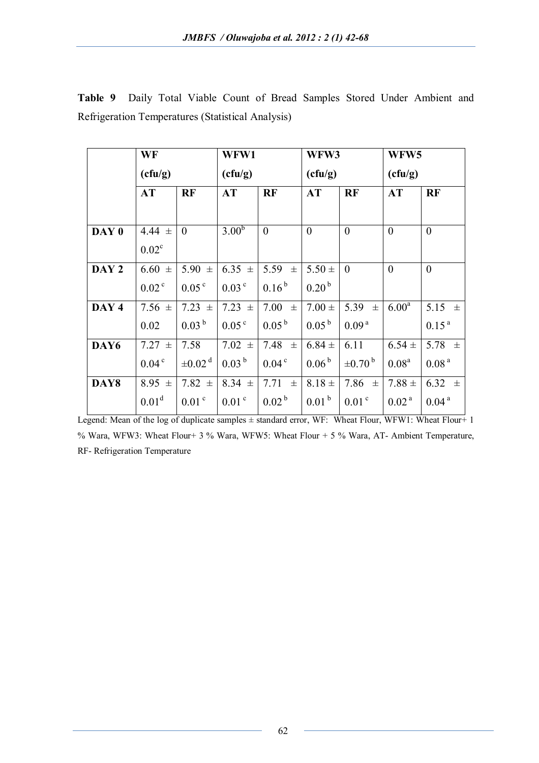|       | WF                |                         | WFW1              |                     |                   | WFW3                    |                   | WFW <sub>5</sub>  |
|-------|-------------------|-------------------------|-------------------|---------------------|-------------------|-------------------------|-------------------|-------------------|
|       | (cfu/g)           |                         | (cfu/g)           |                     |                   | (cfu/g)                 |                   |                   |
|       | AT                | <b>RF</b>               | AT                | <b>RF</b>           | AT                | RF                      | AT                | RF                |
|       |                   |                         |                   |                     |                   |                         |                   |                   |
| DAY 0 | 4.44 $\pm$        | $\overline{0}$          | 3.00 <sup>b</sup> | $\overline{0}$      | $\mathbf{0}$      | $\overline{0}$          | $\theta$          | $\mathbf{0}$      |
|       | $0.02^{\circ}$    |                         |                   |                     |                   |                         |                   |                   |
| DAY 2 | $6.60 \pm$        | 5.90 $\pm$              | $6.35 \pm$        | 5.59<br>$\pm$       | $5.50 \pm$        | $\theta$                | $\theta$          | $\mathbf{0}$      |
|       | 0.02 <sup>c</sup> | $0.05^{\circ}$          | $0.03^{\circ}$    | $0.16^{b}$          | $0.20^{b}$        |                         |                   |                   |
| DAY 4 | 7.56 $\pm$        | $7.23 \pm$              | 7.23 $\pm$        | $7.00 \pm$          | $7.00 \pm$        | 5.39<br>$\pm$           | $6.00^{\rm a}$    | 5.15 $\pm$        |
|       | 0.02              | $0.03^{b}$              | 0.05 <sup>c</sup> | $0.05^{b}$          | $0.05^{b}$        | 0.09 <sup>a</sup>       |                   | 0.15 <sup>a</sup> |
| DAY6  | $7.27 \pm$        | 7.58                    | 7.02 $\pm$        | 7.48<br>$\pm$       | $6.84 \pm$        | 6.11                    | $6.54 \pm$        | 5.78 $\pm$        |
|       | 0.04 <sup>c</sup> | $\pm 0.02$ <sup>d</sup> | $0.03^{b}$        | 0.04 <sup>c</sup>   | 0.06 <sup>b</sup> | $\pm 0.70^{\mathrm{b}}$ | $0.08^{\text{a}}$ | 0.08 <sup>a</sup> |
| DAY8  | 8.95 $\pm$        | 7.82 $\pm$              | $8.34 \pm$        | 7.71<br>$\pm$       | $8.18 \pm$        | 7.86 $\pm$              | $7.88 \pm$        | 6.32 $\pm$        |
|       | 0.01 <sup>d</sup> | 0.01 <sup>c</sup>       | 0.01 <sup>c</sup> | $0.02^{\mathrm{b}}$ | 0.01 <sup>b</sup> | 0.01 <sup>c</sup>       | 0.02 <sup>a</sup> | 0.04 <sup>a</sup> |

**Table 9** Daily Total Viable Count of Bread Samples Stored Under Ambient and Refrigeration Temperatures (Statistical Analysis)

Legend: Mean of the log of duplicate samples  $\pm$  standard error, WF: Wheat Flour, WFW1: Wheat Flour+ 1 % Wara, WFW3: Wheat Flour+ 3 % Wara, WFW5: Wheat Flour + 5 % Wara, AT- Ambient Temperature, RF- Refrigeration Temperature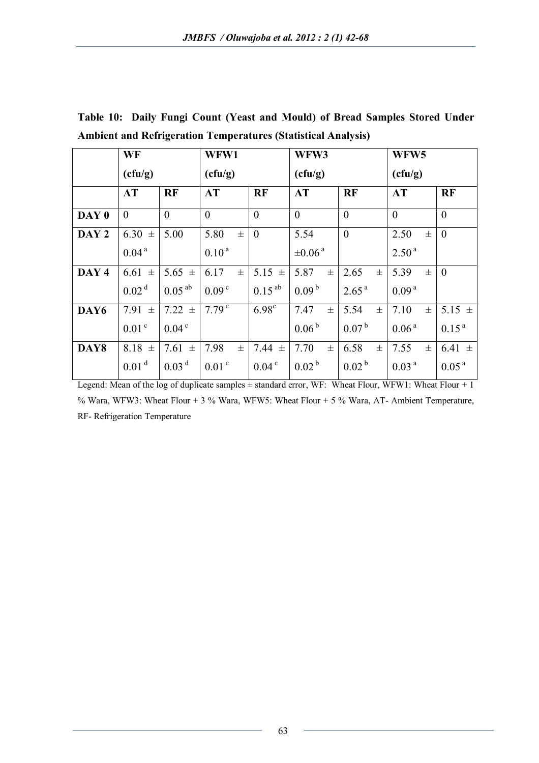|       | WF                |                   | WFW1              |                | WFW3                    |                   | WFW <sub>5</sub>  |                   |  |
|-------|-------------------|-------------------|-------------------|----------------|-------------------------|-------------------|-------------------|-------------------|--|
|       | (cfu/g)           |                   |                   |                | (cfu/g)                 |                   | (cfu/g)           |                   |  |
|       | <b>AT</b>         | <b>RF</b>         | <b>AT</b>         | <b>RF</b>      | <b>AT</b>               | <b>RF</b>         | AT                | <b>RF</b>         |  |
| DAY 0 | $\theta$          | $\theta$          | $\theta$          | $\overline{0}$ | $\theta$                | $\theta$          | $\theta$          | $\theta$          |  |
| DAY 2 | $6.30 \pm$        | 5.00              | 5.80<br>士         | $\overline{0}$ | 5.54                    | $\overline{0}$    | 2.50<br>士         | $\theta$          |  |
|       | 0.04 <sup>a</sup> |                   | $0.10^{a}$        |                | $\pm 0.06$ <sup>a</sup> |                   | 2.50 <sup>a</sup> |                   |  |
| DAY 4 | $6.61 \pm$        | 5.65 $\pm$        | 6.17<br>士         | $5.15 \pm$     | 5.87<br>士               | 2.65<br>$\pm$     | 5.39<br>土         | $\theta$          |  |
|       | 0.02 <sup>d</sup> | $0.05^{ab}$       | 0.09 <sup>c</sup> | $0.15^{ab}$    | 0.09 <sup>b</sup>       | 2.65 <sup>a</sup> | 0.09 <sup>a</sup> |                   |  |
| DAY6  | 7.91 $\pm$        | $7.22 \pm$        | 7.79 <sup>c</sup> | $6.98^\circ$   | 7.47<br>土               | 5.54<br>$\pm$     | 7.10<br>士         | $5.15 \pm$        |  |
|       | 0.01 <sup>c</sup> | 0.04 <sup>c</sup> |                   |                | $0.06^{\mathrm{b}}$     | 0.07 <sup>b</sup> | 0.06 <sup>a</sup> | $0.15^{a}$        |  |
| DAY8  | $8.18 \pm$        | 7.61 $\pm$        | 7.98<br>士         | 7.44<br>$\pm$  | 7.70<br>$\pm$           | 6.58<br>$\pm$     | 7.55<br>$\pm$     | $6.41 \pm$        |  |
|       | 0.01 <sup>d</sup> | 0.03 <sup>d</sup> | 0.01 <sup>c</sup> | $0.04^{\circ}$ | 0.02 <sup>b</sup>       | 0.02 <sup>b</sup> | 0.03 <sup>a</sup> | 0.05 <sup>a</sup> |  |

**Table 10: Daily Fungi Count (Yeast and Mould) of Bread Samples Stored Under Ambient and Refrigeration Temperatures (Statistical Analysis)**

Legend: Mean of the log of duplicate samples  $\pm$  standard error, WF: Wheat Flour, WFW1: Wheat Flour + 1 % Wara, WFW3: Wheat Flour + 3 % Wara, WFW5: Wheat Flour + 5 % Wara, AT- Ambient Temperature, RF- Refrigeration Temperature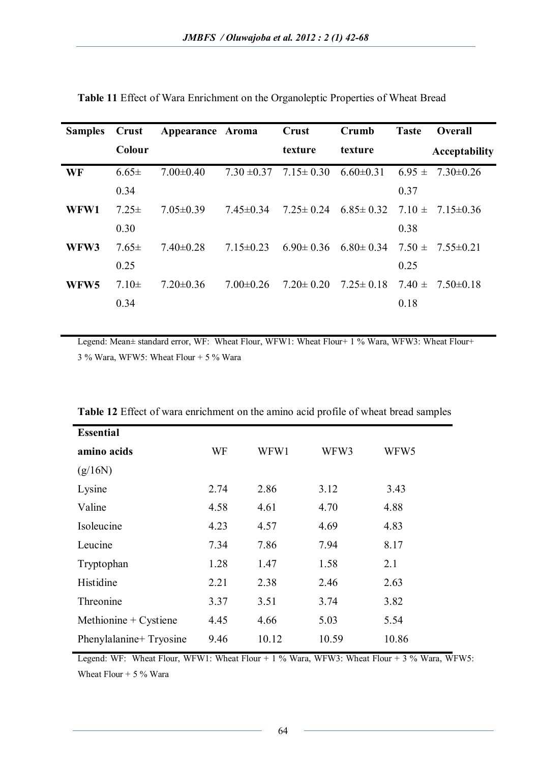| <b>Samples</b>   | <b>Crust</b> | Appearance Aroma |                 | Crust           | Crumb                                    | <b>Taste</b> | <b>Overall</b>       |
|------------------|--------------|------------------|-----------------|-----------------|------------------------------------------|--------------|----------------------|
|                  | Colour       |                  |                 | texture         | texture                                  |              | <b>Acceptability</b> |
| WF               | $6.65 \pm$   | $7.00 \pm 0.40$  | $7.30 \pm 0.37$ | $7.15 \pm 0.30$ | $6.60 \pm 0.31$                          | $6.95 \pm$   | $7.30 \pm 0.26$      |
|                  | 0.34         |                  |                 |                 |                                          | 0.37         |                      |
| WFW1             | $7.25 \pm$   | $7.05 \pm 0.39$  | $7.45 \pm 0.34$ | $7.25 \pm 0.24$ | $6.85 \pm 0.32$ $7.10 \pm 7.15 \pm 0.36$ |              |                      |
|                  | 0.30         |                  |                 |                 |                                          | 0.38         |                      |
| WFW3             | $7.65 \pm$   | $7.40 \pm 0.28$  | $7.15 \pm 0.23$ | $6.90 \pm 0.36$ | $6.80 \pm 0.34$                          | $7.50 \pm$   | $7.55 \pm 0.21$      |
|                  | 0.25         |                  |                 |                 |                                          | 0.25         |                      |
| WFW <sub>5</sub> | $7.10 \pm$   | $7.20 \pm 0.36$  | $7.00 \pm 0.26$ | $7.20 \pm 0.20$ | $7.25 \pm 0.18$                          | $7.40 \pm$   | $7.50 \pm 0.18$      |
|                  | 0.34         |                  |                 |                 |                                          | 0.18         |                      |
|                  |              |                  |                 |                 |                                          |              |                      |

**Table 11** Effect of Wara Enrichment on the Organoleptic Properties of Wheat Bread

Legend: Mean± standard error, WF: Wheat Flour, WFW1: Wheat Flour+ 1 % Wara, WFW3: Wheat Flour+ 3 % Wara, WFW5: Wheat Flour + 5 % Wara

| <b>Essential</b>        |      |       |       |       |
|-------------------------|------|-------|-------|-------|
| amino acids             | WF   | WFW1  | WFW3  | WFW5  |
| (g/16N)                 |      |       |       |       |
| Lysine                  | 2.74 | 2.86  | 3.12  | 3.43  |
| Valine                  | 4.58 | 4.61  | 4.70  | 4.88  |
| Isoleucine              | 4.23 | 4.57  | 4.69  | 4.83  |
| Leucine                 | 7.34 | 7.86  | 7.94  | 8.17  |
| Tryptophan              | 1.28 | 1.47  | 1.58  | 2.1   |
| Histidine               | 2.21 | 2.38  | 2.46  | 2.63  |
| Threonine               | 3.37 | 3.51  | 3.74  | 3.82  |
| Methionine $+$ Cystiene | 4.45 | 4.66  | 5.03  | 5.54  |
| Phenylalanine+ Tryosine | 9.46 | 10.12 | 10.59 | 10.86 |

**Table 12** Effect of wara enrichment on the amino acid profile of wheat bread samples

Legend: WF: Wheat Flour, WFW1: Wheat Flour + 1 % Wara, WFW3: Wheat Flour + 3 % Wara, WFW5: Wheat Flour  $+ 5 \%$  Wara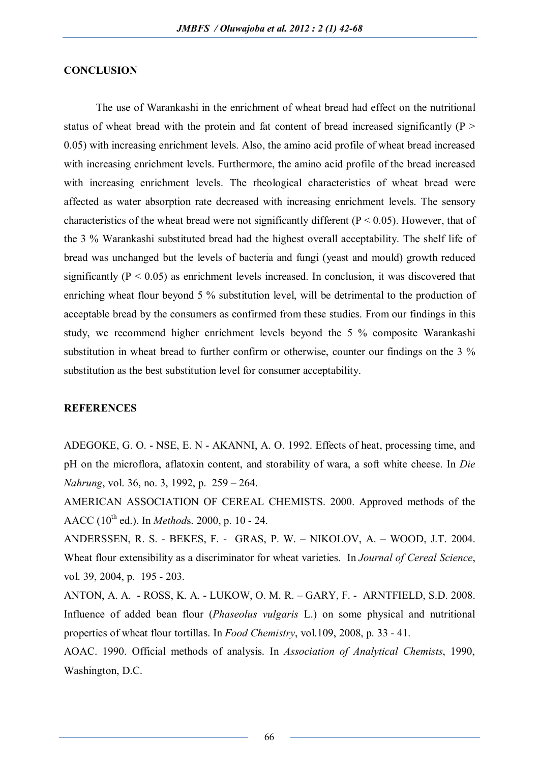## **CONCLUSION**

The use of Warankashi in the enrichment of wheat bread had effect on the nutritional status of wheat bread with the protein and fat content of bread increased significantly ( $P >$ 0.05) with increasing enrichment levels. Also, the amino acid profile of wheat bread increased with increasing enrichment levels. Furthermore, the amino acid profile of the bread increased with increasing enrichment levels. The rheological characteristics of wheat bread were affected as water absorption rate decreased with increasing enrichment levels. The sensory characteristics of the wheat bread were not significantly different ( $P < 0.05$ ). However, that of the 3 % Warankashi substituted bread had the highest overall acceptability. The shelf life of bread was unchanged but the levels of bacteria and fungi (yeast and mould) growth reduced significantly  $(P < 0.05)$  as enrichment levels increased. In conclusion, it was discovered that enriching wheat flour beyond 5 % substitution level, will be detrimental to the production of acceptable bread by the consumers as confirmed from these studies. From our findings in this study, we recommend higher enrichment levels beyond the 5 % composite Warankashi substitution in wheat bread to further confirm or otherwise, counter our findings on the 3 % substitution as the best substitution level for consumer acceptability.

#### **REFERENCES**

ADEGOKE, G. O. - NSE, E. N - AKANNI, A. O. 1992. Effects of heat, processing time, and pH on the microflora, aflatoxin content, and storability of wara, a soft white cheese. In *Die Nahrung*, vol. 36, no. 3, 1992, p. 259 – 264.

AMERICAN ASSOCIATION OF CEREAL CHEMISTS. 2000. Approved methods of the AACC (10th ed.). In *Method*s. 2000, p. 10 - 24.

ANDERSSEN, R. S. - BEKES, F. - GRAS, P. W. – NIKOLOV, A. – WOOD, J.T. 2004. Wheat flour extensibility as a discriminator for wheat varieties. In *Journal of Cereal Science*, vol. 39, 2004, p. 195 - 203.

ANTON, A. A. - ROSS, K. A. - LUKOW, O. M. R. – GARY, F. - ARNTFIELD, S.D. 2008. Influence of added bean flour (*Phaseolus vulgaris* L.) on some physical and nutritional properties of wheat flour tortillas. In *Food Chemistry*, vol.109, 2008, p. 33 - 41.

AOAC. 1990. Official methods of analysis. In *Association of Analytical Chemists*, 1990, Washington, D.C.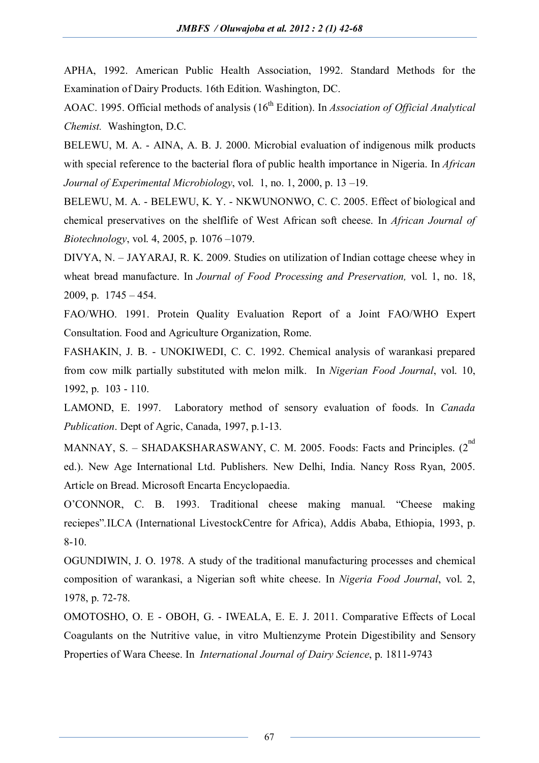APHA, 1992. American Public Health Association, 1992. Standard Methods for the Examination of Dairy Products. 16th Edition. Washington, DC.

AOAC. 1995. Official methods of analysis (16<sup>th</sup> Edition). In *Association of Official Analytical Chemist.* Washington, D.C.

BELEWU, M. A. - AINA, A. B. J. 2000. Microbial evaluation of indigenous milk products with special reference to the bacterial flora of public health importance in Nigeria. In *African Journal of Experimental Microbiology*, vol. 1, no. 1, 2000, p. 13 –19.

BELEWU, M. A. - BELEWU, K. Y. - NKWUNONWO, C. C. 2005. Effect of biological and chemical preservatives on the shelflife of West African soft cheese. In *African Journal of Biotechnology*, vol. 4, 2005, p. 1076 –1079.

DIVYA, N. – JAYARAJ, R. K. 2009. Studies on utilization of Indian cottage cheese whey in wheat bread manufacture. In *Journal of Food Processing and Preservation,* vol. 1, no. 18, 2009, p. 1745 – 454.

FAO/WHO. 1991. Protein Quality Evaluation Report of a Joint FAO/WHO Expert Consultation. Food and Agriculture Organization, Rome.

FASHAKIN, J. B. - UNOKIWEDI, C. C. 1992. Chemical analysis of warankasi prepared from cow milk partially substituted with melon milk. In *Nigerian Food Journal*, vol. 10, 1992, p. 103 - 110.

LAMOND, E. 1997. Laboratory method of sensory evaluation of foods. In *Canada Publication*. Dept of Agric, Canada, 1997, p.1-13.

MANNAY, S. - SHADAKSHARASWANY, C. M. 2005. Foods: Facts and Principles. (2<sup>nd</sup> ed.). New Age International Ltd. Publishers. New Delhi, India. Nancy Ross Ryan, 2005. Article on Bread. Microsoft Encarta Encyclopaedia.

O'CONNOR, C. B. 1993. Traditional cheese making manual. "Cheese making reciepes"*.*ILCA (International LivestockCentre for Africa), Addis Ababa, Ethiopia, 1993, p. 8-10.

OGUNDIWIN, J. O. 1978. A study of the traditional manufacturing processes and chemical composition of warankasi, a Nigerian soft white cheese. In *Nigeria Food Journal*, vol. 2, 1978, p. 72-78.

OMOTOSHO, O. E - OBOH, G. - IWEALA, E. E. J. 2011. Comparative Effects of Local Coagulants on the Nutritive value, in vitro Multienzyme Protein Digestibility and Sensory Properties of Wara Cheese. In *International Journal of Dairy Science*, p. 1811-9743